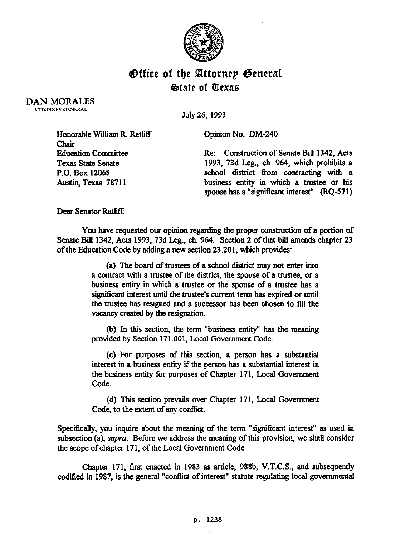

## **Office of the Attornep General** &ate of PCexae

DAN MORALES ATTORNEY GENERAL

July 26, 1993

| Honorable William R. Ratliff | Opinion No. DM-240                           |
|------------------------------|----------------------------------------------|
| <b>Chair</b>                 |                                              |
| <b>Education Committee</b>   | Re: Construction of Senate Bill 1342, Acts   |
| <b>Texas State Senate</b>    | 1993, 73d Leg., ch. 964, which prohibits a   |
| P.O. Box 12068               | school district from contracting with a      |
| Austin, Texas 78711          | business entity in which a trustee or his    |
|                              | spouse has a "significant interest" (RQ-571) |

Dear Senator Ratliff:

You have requested our opinion regarding the proper construction of a portion of Senate Bill 1342. Acts 1993, 73d Leg., ch. 964. Section 2 of that bill amends chapter 23 of the Education Code by adding a new section 23.201. which provides:

> (a) The board of trustees of a school district may not enter into a contract with a trustee of the district, the spouse of a trustee, or a business entity in which a trustee or the spouse of a trustee has a significant interest until the trustee's current term has expired or until the trustee has resigned and a successor has been chosen to fill the vacancy created by the resignation.

> (b) In this section, the term "business entity" has the meaning provided by Section 171.001, Local Government Code.

> (c) For purposes of this section, a person has a substantial interest in a business entity if the person has a substantial interest in the business entity for purposes of Chapter 171, Local Government Code.

> (d) This section prevails over Chapter 171, Local Government Code, to the extent of any conflict.

Specifically, you inquire about the meaning of the term "significant interest" as used in subsection (a), *supra*. Before we address the meaning of this provision, we shall consider the scope of chapter 171, of the Local Government Code.

Chapter 171, first enacted in 1983 as article, 988b, V.T.C.S., and subsequently codified in 1987, is the general "conflict of interest" statute regulating local governmental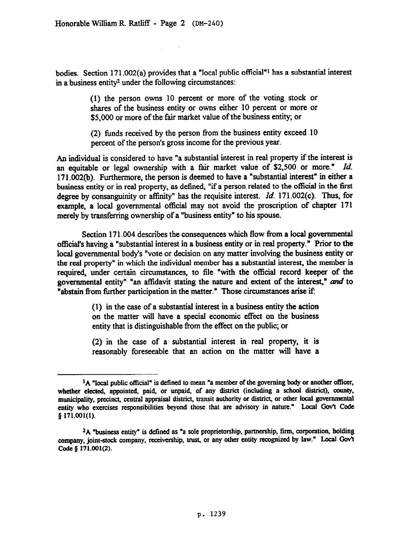bodies. Section 171.002(a) provides that a "local public official"<sup>1</sup> has a substantial interest in a business entity2 under the following circumstances:

> (1) the person owns 10 percent or more of the voting stock or shares of the business entity or owns either 10 percent or more or \$5,000 or more of the fair market value of the business entity; or

> (2) funds received by the person from the business entity exceed 10 percent of the person's gross income for the previous year.

An individual is considered to have "a substantial interest in real property if the interest is an equitable or legal ownership with a fair market value of \$2,500 or more." *Id.*  171.002(b). Furthermore, the person is deemed to have a "substantial interest" in either a business entity or in real property, as defined, "if a person related to the official in the first degree by consanguinity or aflinity" has the requisite interest. *Id.* 171.002(c). Thus, for example, a local governmental official may not avoid the proscription of chapter 171 merely by transferring ownership of a "business entity" to his spouse.

Section 171.004 describes the consequences which flow from a local governmental official's having a "substantial interest in a business entity or in real property." Prior to the local governmental body's "vote or decision on any matter involving the business entity or the real property" in which the individual member has a substantial interest, the member is required, under certain circumstances, to file "with the official record keeper of the governmental entity" "an affidavit stating the nature and extent of the interest,"  $and$  to "abstain from further participation in the matter." Those circumstances arise if:

> (1) in the case of a substantial interest in a business entity the action on the matter will have a special economic effect on the business entity that is distinguishable from the effect on the public; or

> (2) in the case of a substantial interest in real property, it is reasonably foreseeable that an action on the matter will have a

<sup>&</sup>lt;sup>1</sup>A "local public official" is defined to mean "a member of the governing body or another officer, whether elected, appointed, paid, or unpaid, **of any district (including a school district), county.**  muntcipality, precinct, central appraisal district, **transit authority or district, or other local govemmental**  entity who exercises responsibilities beyond those that are advisory in nature." Local Gov't Code **p 171.001(1).** 

**<sup>&#</sup>x27;A "business entity' is defined as "a sole proprietorship, partnership, firm, corporation, holding**  company, joint-stock company, receivership, trust, or any other entity recognized by law." Local Gov't **Code g 171.001(2).**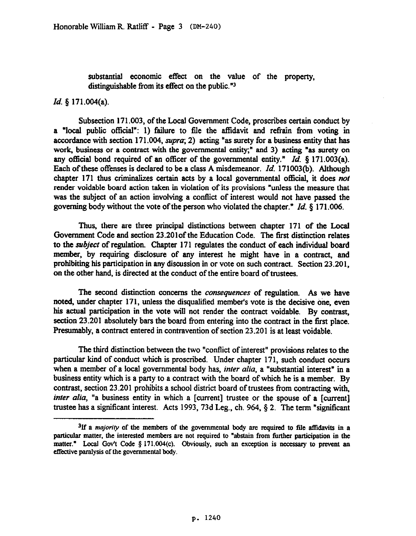substantial economic effect on the value of the property, distinguishable from its effect on the public."3

## *Id. \$* 171.004(a).

Subsection 171.003, of the Local Government Code, proscribes certain conduct by a "local public official": 1) failure to file the affidavit and refrain from voting in accordance with section 171.004, *supru;* 2) acting "as surety for a business entity that has work, business or a contract with the governmental entity;" and 3) acting "as surety on any official bond required of an officer of the governmental entity." *Id.* § 171.003(a). Each of these offenses is declared to be a class A misdemeanor. *Id.* 171003(b). Although chapter 171 thus criminalizes certain acts by a local governmental official, it does not render voidable board action taken in violation of its provisions "unless the measure that was the subject of an action involving a conflict of interest would not have passed the governing body without the vote of the person who violated the chapter." *Id.* § 171.006.

Thus, there are three principal distinctions between chapter 171 of the Local Government Code and section 23.201of the Education Code. The first distinction relates to the subject of regulation. Chapter 171 regulates the conduct of each individual board member, by requiring disclosure of any interest he might have in a contract, and prohibiting his participation in any discussion in or vote on such contract. Section 23.201, on the other hand, is directed at the conduct of the entire board of trustees.

The second distinction concerns the *consequences* of regulation. As we have noted, under chapter 171, unless the disqualified member's vote is the decisive one, even his actual participation in the vote will not render the contract voidable. By contrast, section 23.201 absolutely bars the board from entering into the contract in the first place. Presumably, a contract entered in contravention of section 23.201 is at least voidable.

The third distinction between the two "conflict of interest" provisions relates to the particular kind of conduct which is proscribed. Under chapter 171, such conduct occurs when a member of a local governmental body has, *inter alia*, a "substantial interest" in a business entity which is a party to a contract with the board of which he is a member. By contrast, section 23.201 prohibits a school district board of trustees from contracting with, *inter alia*, "a business entity in which a [current] trustee or the spouse of a [current] trustee has a significant interest. Acts 1993, 73d Leg., ch. 964, § 2. The term "significant

<sup>&</sup>lt;sup>3</sup>If a *majority* of the members of the governmental body are required to file affidavits in a particnlar matter, the interested members are not required to "abstain from further parttcipation in the matter." Local Gov't Code § 171.004(c). Obviously, such an exception is necessary to prevent an **effective paralysis of the governmental body.**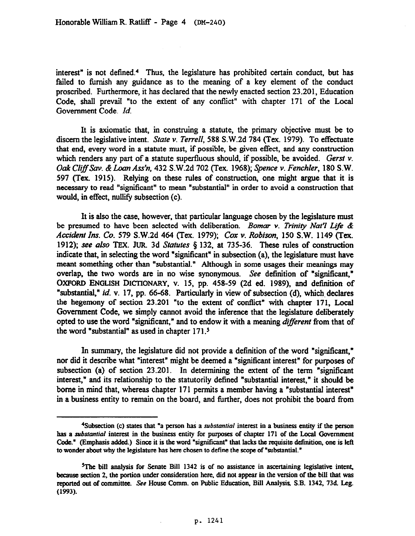interest" is not defined.4 Thus, the legislature has prohibited certain conduct, but has failed to furnish any guidance as to the meaning of a key element of the conduct proscribed. Furthermore, it has declared that the newly enacted section 23.201, Education Code, shall prevail "to the extent of any conflict" with chapter 171 of the Local Government Code. *Id.* 

It is axiomatic that, in construing a statute, the primary objective must be to discern the legislative intent. **Stare** Y. *Terrell, 588* S.W.2d 784 (Tex. 1979). To effectuate that end, every word in a statute must, if possible, be given effect, and any construction which renders any part of a statute superfluous should, if possible, be avoided. *Gerst v. Oak CliJfSuv. &Loan A&n, 432* S.W.2d 702 (Tex. 1968); *Spnce v. Fenchler,* 180 S.W. 597 (Tex. 1915). Relying on these rules of construction, one might argue that it is necessary to read "significant" to mean "substantial" in order to avoid a construction that would, in effect, nullify subsection (c).

It is also the case, however, that particular language chosen by the legislature must be presumed to have been selected with deliberation. *Bomur v. Trinity Nut? Life & Accident Ins. Co. 579* S.W.2d 464 *(Tex.* 1979); *Car v. Robison,* 150 S.W. 1149 (Tex. 1912); see also TEX. JUR. 3d *Siutuies 3* 132, at 735-36. These rules of construction indicate that, in selecting the word "significant" in subsection (a), the legislature must have meant something other than "substantial." Although in some usages their meanings may overlap, the two words are in no wise synonymous. See definition of "significant," OXFORD ENGLISH DICTIONARY, v. 15, pp. 458-59 (2d ed. 1989), and definition of "substantial," *id.* v. 17, pp. 66-68. Particularly in view of subsection (d), which declares the hegemony of section 23.201 "to the extent of conflict" with chapter 171, Local Government Code, we simply cannot avoid the inference that the legislature deliberately opted to use the word "significant," and to endow it with a meaning *different* from that of the word "substantial" as used in chapter 171.5

In summary, the legislature did not provide a definition of the word "significant," nor did it describe what "interest" might be deemed a "significant interest" for purposes of subsection (a) of section 23.201. In determining the extent of the term "significant interest," and its relationship to the statutorily defined "substantial interest," it should be borne in mind that, whereas chapter 171 permits a member having a "substantial interest" in a business entity to remain on the board, and further, does not prohibit the board from

<sup>&</sup>lt;sup>4</sup>Subsection (c) states that "a person has a *substantial* interest in a business entity if the person *has a substantial* **interest in the business entity for** putposes **of** chapter **171 of the Local Govemment**  Code." (Emphasis added.) Since it is the word "significant" that lacks the requisite definition, one is left **to wonder about why the legislature has here chosen to define the scope of "sobstantial."** 

<sup>&</sup>lt;sup>5</sup>The bill analysis for Senate Bill 1342 is of no assistance in ascertaining legislative intent, became seetion 2, the portion under consideration here, did not appear in the version of the bill that was reported out **of** mmmittee. See **House Comm. on public Education, Bill Analysis, S.B. 1342, 736 Leg. (1993).**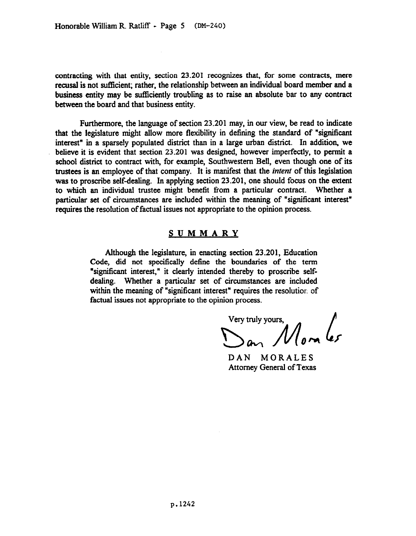contracting with that entity, section 23.201 recognizes that, for some contracts, mere recusal is not sufficient; rather, the relationship between an individual board member and a business entity may be sufficiently troubling as to raise an absolute bar to any contract between the board and that business entity.

Furthermore, the language of section 23.201 may, in our view, be read to indicate that the legislature might allow more flexibility in defining the standard of "signiticant interest" in a sparsely populated district than in a large urban district. In addition, we believe it is evident that section 23.201 was designed, however imperfectly, to permit a school district to contract with, for example, Southwestern Bell, even though one of its trustees is an employee of that company. It is manifest that the *intent* of this legislation was to proscribe self-dealing. In applying section 23.201. one should focus on the extent to which an individual trustee might benefit from a particular contract. Whether a particular set of circumstances are included within the meaning of "significant interest" requires the resolution of factual issues not appropriate to the opinion process.

## SUMMARY

Although the legislature, in enacting section 23.201, Education Code, did not specifically define the boundaries of the term "significant interest," it clearly intended thereby to proscribe selfdealing. Whether a particular set of circumstances are included within the meaning of "significant interest" requires the resolution of factual issues not appropriate to the opinion process.

Very truly yours,  $\frac{1}{\sqrt{2\pi}}$ 

DAN MORALES Attorney General of Texas